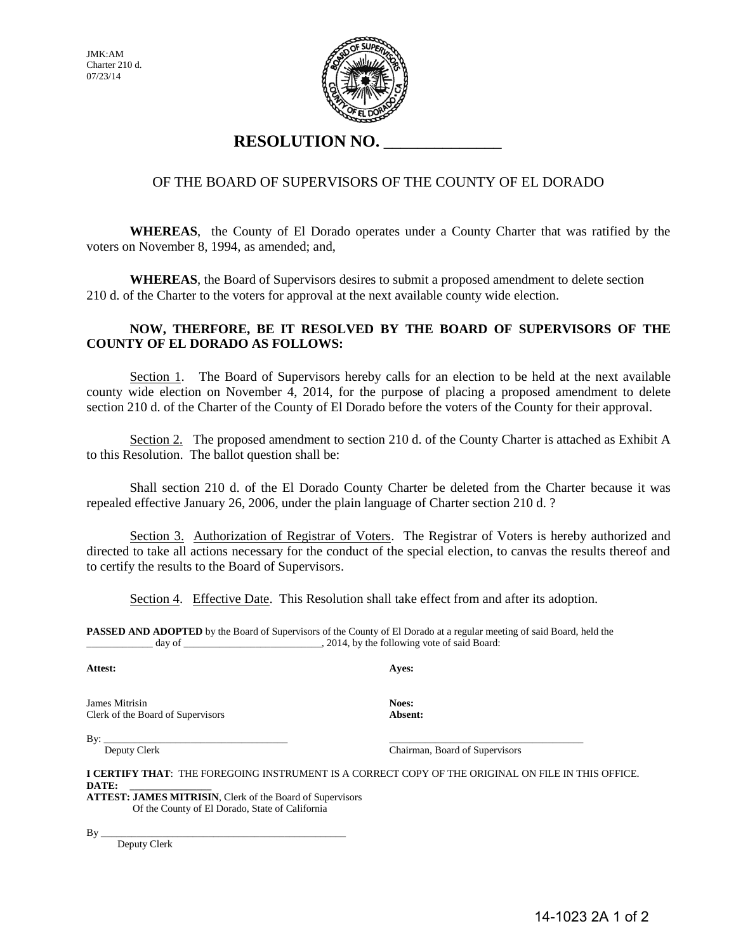JMK:AM Charter 210 d. 07/23/14



# **RESOLUTION NO. \_\_\_\_\_\_\_\_\_\_\_\_\_\_**

#### OF THE BOARD OF SUPERVISORS OF THE COUNTY OF EL DORADO

**WHEREAS**, the County of El Dorado operates under a County Charter that was ratified by the voters on November 8, 1994, as amended; and,

 **WHEREAS**, the Board of Supervisors desires to submit a proposed amendment to delete section 210 d. of the Charter to the voters for approval at the next available county wide election.

#### **NOW, THERFORE, BE IT RESOLVED BY THE BOARD OF SUPERVISORS OF THE COUNTY OF EL DORADO AS FOLLOWS:**

 Section 1. The Board of Supervisors hereby calls for an election to be held at the next available county wide election on November 4, 2014, for the purpose of placing a proposed amendment to delete section 210 d. of the Charter of the County of El Dorado before the voters of the County for their approval.

Section 2. The proposed amendment to section 210 d. of the County Charter is attached as Exhibit A to this Resolution. The ballot question shall be:

 Shall section 210 d. of the El Dorado County Charter be deleted from the Charter because it was repealed effective January 26, 2006, under the plain language of Charter section 210 d. ?

Section 3. Authorization of Registrar of Voters. The Registrar of Voters is hereby authorized and directed to take all actions necessary for the conduct of the special election, to canvas the results thereof and to certify the results to the Board of Supervisors.

Section 4. Effective Date. This Resolution shall take effect from and after its adoption.

**PASSED AND ADOPTED** by the Board of Supervisors of the County of El Dorado at a regular meeting of said Board, held the day of  $\qquad \qquad$  2014, by the following vote of said Board:

**Attest: Ayes:** 

James Mitrisin **Noes:** Clerk of the Board of Supervisors **Absent:** 

By: \_\_\_\_\_\_\_\_\_\_\_\_\_\_\_\_\_\_\_\_\_\_\_\_\_\_\_\_\_\_\_\_\_\_\_\_ \_\_\_\_\_\_\_\_\_\_\_\_\_\_\_\_\_\_\_\_\_\_\_\_\_\_\_\_\_\_\_\_\_\_\_\_\_\_

Deputy Clerk Chairman, Board of Supervisors

**I CERTIFY THAT**: THE FOREGOING INSTRUMENT IS A CORRECT COPY OF THE ORIGINAL ON FILE IN THIS OFFICE.  $\mathbf{DATE}$ 

**ATTEST: JAMES MITRISIN**, Clerk of the Board of Supervisors Of the County of El Dorado, State of California

By \_\_\_\_\_\_\_\_\_\_\_\_\_\_\_\_\_\_\_\_\_\_\_\_\_\_\_\_\_\_\_\_\_\_\_\_\_\_\_\_\_\_\_\_\_\_\_\_

Deputy Clerk